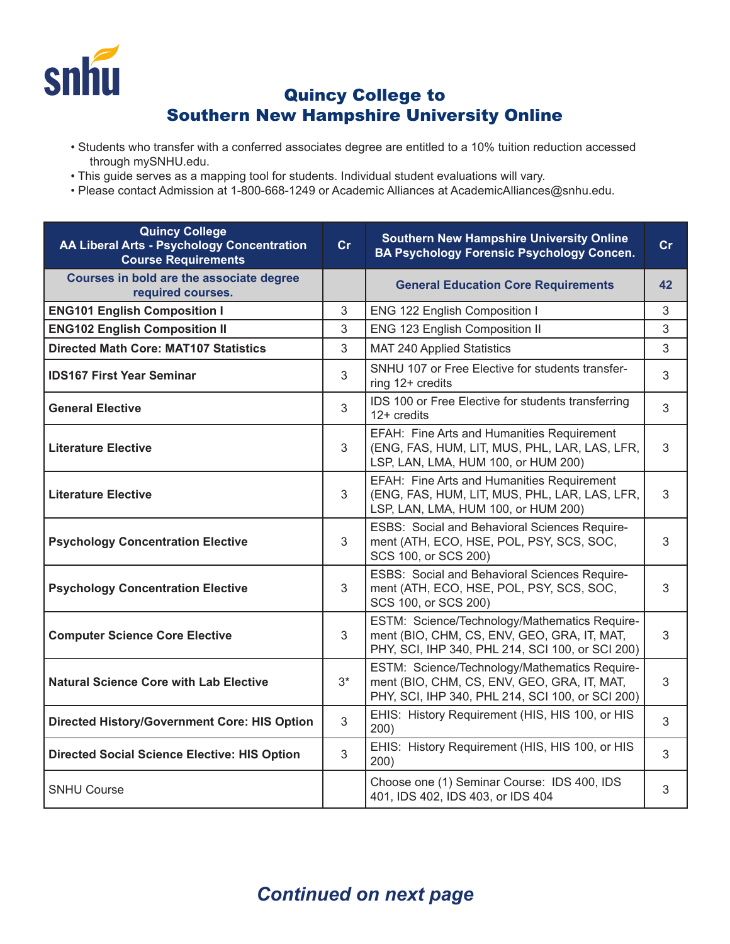

## Quincy College to Southern New Hampshire University Online

- Students who transfer with a conferred associates degree are entitled to a 10% tuition reduction accessed through mySNHU.edu.
- This guide serves as a mapping tool for students. Individual student evaluations will vary.
- Please contact Admission at 1-800-668-1249 or Academic Alliances at AcademicAlliances@snhu.edu.

| <b>Quincy College</b><br>AA Liberal Arts - Psychology Concentration<br><b>Course Requirements</b> | cr             | <b>Southern New Hampshire University Online</b><br><b>BA Psychology Forensic Psychology Concen.</b>                                              | cr |
|---------------------------------------------------------------------------------------------------|----------------|--------------------------------------------------------------------------------------------------------------------------------------------------|----|
| Courses in bold are the associate degree<br>required courses.                                     |                | <b>General Education Core Requirements</b>                                                                                                       | 42 |
| <b>ENG101 English Composition I</b>                                                               | 3              | ENG 122 English Composition I                                                                                                                    | 3  |
| <b>ENG102 English Composition II</b>                                                              | 3              | ENG 123 English Composition II                                                                                                                   | 3  |
| <b>Directed Math Core: MAT107 Statistics</b>                                                      | 3              | <b>MAT 240 Applied Statistics</b>                                                                                                                | 3  |
| <b>IDS167 First Year Seminar</b>                                                                  | 3              | SNHU 107 or Free Elective for students transfer-<br>ring 12+ credits                                                                             | 3  |
| <b>General Elective</b>                                                                           | 3              | IDS 100 or Free Elective for students transferring<br>$12+$ credits                                                                              | 3  |
| <b>Literature Elective</b>                                                                        | 3              | EFAH: Fine Arts and Humanities Requirement<br>(ENG, FAS, HUM, LIT, MUS, PHL, LAR, LAS, LFR,<br>LSP, LAN, LMA, HUM 100, or HUM 200)               | 3  |
| <b>Literature Elective</b>                                                                        | 3              | EFAH: Fine Arts and Humanities Requirement<br>(ENG, FAS, HUM, LIT, MUS, PHL, LAR, LAS, LFR,<br>LSP, LAN, LMA, HUM 100, or HUM 200)               | 3  |
| <b>Psychology Concentration Elective</b>                                                          | 3              | ESBS: Social and Behavioral Sciences Require-<br>ment (ATH, ECO, HSE, POL, PSY, SCS, SOC,<br>SCS 100, or SCS 200)                                | 3  |
| <b>Psychology Concentration Elective</b>                                                          | 3              | ESBS: Social and Behavioral Sciences Require-<br>ment (ATH, ECO, HSE, POL, PSY, SCS, SOC,<br>SCS 100, or SCS 200)                                | 3  |
| <b>Computer Science Core Elective</b>                                                             | 3              | ESTM: Science/Technology/Mathematics Require-<br>ment (BIO, CHM, CS, ENV, GEO, GRA, IT, MAT,<br>PHY, SCI, IHP 340, PHL 214, SCI 100, or SCI 200) | 3  |
| <b>Natural Science Core with Lab Elective</b>                                                     | $3*$           | ESTM: Science/Technology/Mathematics Require-<br>ment (BIO, CHM, CS, ENV, GEO, GRA, IT, MAT,<br>PHY, SCI, IHP 340, PHL 214, SCI 100, or SCI 200) | 3  |
| <b>Directed History/Government Core: HIS Option</b>                                               | 3              | EHIS: History Requirement (HIS, HIS 100, or HIS<br>200)                                                                                          | 3  |
| <b>Directed Social Science Elective: HIS Option</b>                                               | $\mathfrak{S}$ | EHIS: History Requirement (HIS, HIS 100, or HIS<br>200)                                                                                          | 3  |
| <b>SNHU Course</b>                                                                                |                | Choose one (1) Seminar Course: IDS 400, IDS<br>401, IDS 402, IDS 403, or IDS 404                                                                 | 3  |